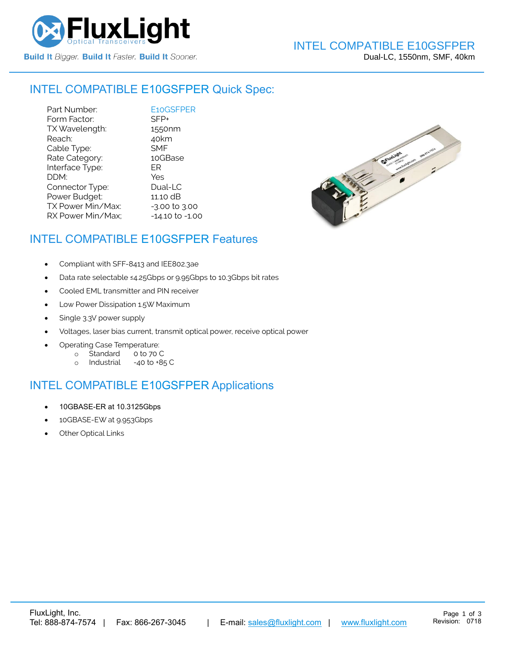

#### INTEL COMPATIBLE [E10GSFPER](https://www.fluxlight.com/) Quick Spec:

Part Number:<br>
Form Factor: SFP+ Form Factor: TX Wavelength: 1550nm Reach: 40km Cable Type: SMF Rate Category: 10GBase Interface Type: ER DDM: Yes Connector Type: Dual-LC Power Budget: 11.10 dB  $TX$  Power Min/Max:  $-3.00$  to  $3.00$ RX Power Min/Max; - 14.10 to -1.00



### INTEL COMPATIBLE [E10GSFPER](https://www.fluxlight.com/) Features

- Compliant with SFF-8413 and IEE802.3ae
- Data rate selectable ≤4.25Gbps or 9.95Gbps to 10.3Gbps bit rates
- Cooled EML transmitter and PIN receiver
- Low Power Dissipation 1.5W Maximum
- Single 3.3V power supply
- Voltages, laser bias current, transmit optical power, receive optical power
- Operating Case Temperature:
	- o Standard 0 to 70 C
	- o Industrial -40 to +85 C

# INTEL COMPATIBLE [E10GSFPER](https://www.fluxlight.com/) Applications

- 10GBASE-ER at 10.3125Gbps
- 10GBASE-EW at 9.953Gbps
- **Other Optical Links**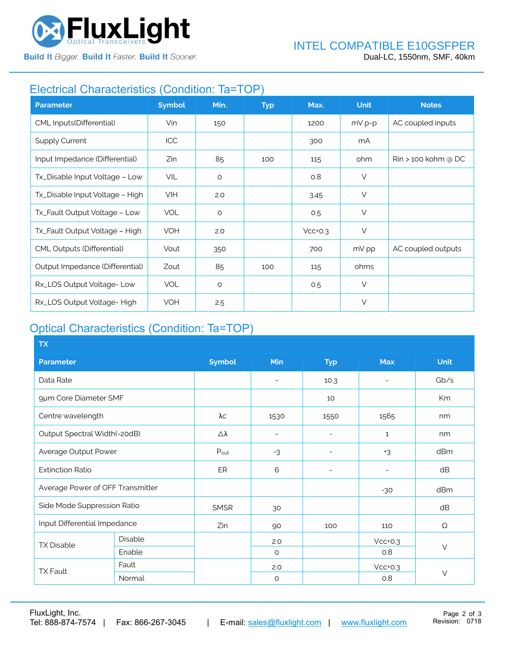

# Electrical Characteristics (Condition: Ta=TOP)

| <b>Parameter</b>                | <b>Symbol</b> | Min.    | <b>Typ</b> | Max.      | <b>Unit</b> | <b>Notes</b>                    |
|---------------------------------|---------------|---------|------------|-----------|-------------|---------------------------------|
| CML Inputs(Differential)        | Vin           | 150     |            | 1200      | $mV p-p$    | AC coupled inputs               |
| <b>Supply Current</b>           | ICC           |         |            | 300       | mA          |                                 |
| Input Impedance (Differential)  | Zin           | 85      | 100        | 115       | ohm         | $\mathsf{R}$ in > 100 kohm @ DC |
| Tx_Disable Input Voltage - Low  | VIL           | $\circ$ |            | 0.8       | $\vee$      |                                 |
| Tx_Disable Input Voltage - High | <b>VIH</b>    | 2.0     |            | 3.45      | $\vee$      |                                 |
| Tx_Fault Output Voltage - Low   | <b>VOL</b>    | $\circ$ |            | 0.5       | $\vee$      |                                 |
| Tx_Fault Output Voltage - High  | <b>VOH</b>    | 2.0     |            | $Vcc+0.3$ | $\vee$      |                                 |
| CML Outputs (Differential)      | Vout          | 350     |            | 700       | mV pp       | AC coupled outputs              |
| Output Impedance (Differential) | Zout          | 85      | 100        | 115       | ohms        |                                 |
| Rx_LOS Output Voltage-Low       | <b>VOL</b>    | $\circ$ |            | 0.5       | $\vee$      |                                 |
| Rx_LOS Output Voltage-High      | <b>VOH</b>    | 2.5     |            |           | $\vee$      |                                 |

# Optical Characteristics (Condition: Ta=TOP)

| <b>TX</b>                        |         |                  |                          |                          |                          |             |  |
|----------------------------------|---------|------------------|--------------------------|--------------------------|--------------------------|-------------|--|
| <b>Parameter</b>                 |         | <b>Symbol</b>    | Min                      | <b>Typ</b>               | <b>Max</b>               | <b>Unit</b> |  |
| Data Rate                        |         |                  | $\overline{\phantom{a}}$ | 10.3                     | $\overline{\phantom{0}}$ | Gb/s        |  |
| 9µm Core Diameter SMF            |         |                  |                          | 10                       |                          | Km          |  |
| Centre wavelength                |         | λс               | 1530                     | 1550                     | 1565                     | nm          |  |
| Output Spectral Width(-20dB)     |         | Δλ               | $\overline{\phantom{a}}$ | $\qquad \qquad$          | $\mathbf{1}$             | nm          |  |
| Average Output Power             |         | $P_{\text{out}}$ | $-3$                     | $\overline{\phantom{a}}$ | $+3$                     | dBm         |  |
| <b>Extinction Ratio</b>          |         | ER               | 6                        | $\overline{\phantom{a}}$ | $\overline{\phantom{0}}$ | dB          |  |
| Average Power of OFF Transmitter |         |                  |                          |                          | $-30$                    | dBm         |  |
| Side Mode Suppression Ratio      |         | <b>SMSR</b>      | 30                       |                          |                          | dB          |  |
| Input Differential Impedance     |         | Zin              | 90                       | 100                      | 110                      | Ω           |  |
| <b>TX Disable</b>                | Disable |                  | 2.0                      |                          | $Vcc+0.3$                | $\vee$      |  |
|                                  | Enable  |                  | $\circ$                  |                          | 0.8                      |             |  |
| <b>TX Fault</b>                  | Fault   |                  | 2.0                      |                          | $Vcc+0.3$                |             |  |
|                                  | Normal  |                  | $\circ$                  |                          | 0.8                      | $\vee$      |  |